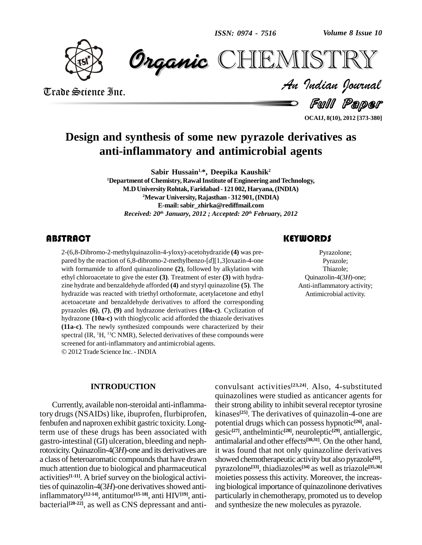*Volume 8 Issue 10*



 *Indian Journal* **CHEMISTRY** 

Trade Science Inc. Trade Science Inc.

Full Paper

**OCAIJ, 8(10), 2012 [373-380]**

## **Design and synthesis of some new pyrazole derivatives as anti-inflammatory and antimicrobial agents**

**Sabir Hussain 1,\*, Deepika Kaushik 2 <sup>1</sup>Department of Chemistry, RawalInstitute ofEngineering andTechnology, M.DUniversityRohtak,Faridabad - 121 002,Haryana,(INDIA) <sup>2</sup>Mewar University, Rajasthan- 312 901,(INDIA) E-mail:[sabir\\_zhirka@rediffmail.com](mailto:sabir_zhirka@rediffmail.com)** *Received: 20 th January, 2012 ; Accepted: 20 th February, 2012*

### **ABSTRACT**

 $2-(6,8-Dibromo-2-meth)$ <br>pared by the reaction of<br>with formamide to affor 2-(6,8-Dibromo-2-methylquinazolin-4-yloxy)-acetohydrazide **(4)** was pre pared by the reaction of 6,8-dibromo-2-methylbenzo-[*d*][1,3]oxazin-4-one with formamide to afford quinazolinone **(2)**, followed by alkylation with ethyl chloroacetate to give the ester **(3)**. Treatment of ester **(3)** with hydra zine hydrate and benzaldehyde afforded **(4)** and styryl quinazoline **(5)**. The hydrazide was reacted with triethyl orthoformate, acetylacetone and ethyl acetoacetate and benzaldehyde derivatives to afford the corresponding pyrazoles **(6)**, **(7)**, **(9)** and hydrazone derivatives **(10a-c)**. Cyclization of hydrazone **(10a-c)** with thioglycolic acid afforded the thiazole derivatives **(11a-c)**. The newly synthesized compounds were characterized by their spectral (IR, <sup>1</sup>H, <sup>13</sup>C NMR), Selected derivatives of these compounds were screened for anti-inflammatory and antimicrobial agents. 2012Trade Science Inc. - INDIA

### **INTRODUCTION**

Currently, available non-steroidal anti-inflammatory drugs (NSAIDs) like, ibuprofen, flurbiprofen, fenbufen and naproxen exhibit gastric toxicity. Longterm use of these drugs has been associated with gastro-intestinal (GI) ulceration, bleeding and nephrotoxicity.Quinazolin-4(3*H*)-one and its derivatives are a class of heteroaromatic compounds that have drawn much attention due to biological and pharmaceutical activities<sup>[1-11]</sup>. A brief survey on the biological activities of quinazolin-4(3H)-one derivatives showed antiinflammatory **[12-14]**, antitumor **[15-18]**, anti HIV**[19]**, anti bacterial **[20-22]**, as well as CNS depressant and anti-

convulsant activities **[23,24]**. Also, 4-substituted quinazolines were studied as anticancer agents for their strong ability to inhibit several receptor tyrosine kinases **[25]**. The derivatives of quinazolin-4-one are potential drugs which can possess hypnotic **[26]**, anal gesic **[27]**, anthelmintic **[28]**, neuroleptic **[29]**, antiallergic, antimalarial and other effects **[30,31]**. On the other hand, it was found that not only quinazoline derivatives showed chemotherapeutic activity but also pyrazole **[32]**, pyrazolone **[33]**, thiadiazoles **[34]** as well astriazole **[35,36]** moieties possess this activity. Moreover, the increasing biological importance of quinazolinone derivatives particularly in chemotherapy, promoted us to develop and synthesize the new molecules as pyrazole.

Pyrazolone;<br>Pyrazole;<br>Thiazole; Pyrazolone; Pyrazole; Thiazole; Quinazolin-4(3*H*)-one; Anti-inflammatory activity; Antimicrobial activity.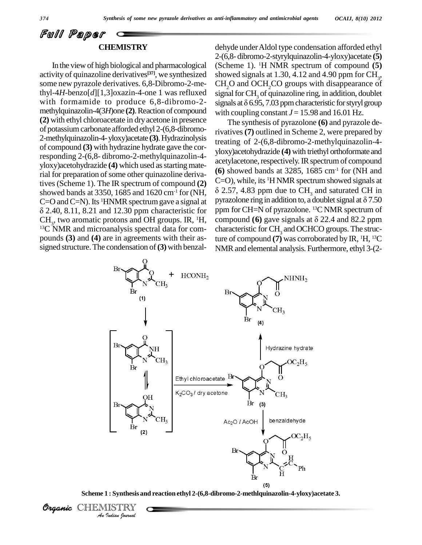### Full Paper **CHEMISTRY**

In the view of high biological and pharmacological activity of quinazoline derivatives **[37]**, we synthesized some new pyrazole derivatives. 6,8-Dibromo-2-methyl-4*H*-benzo[*d*][1,3]oxazin-4-one 1 was refluxed with formamide to produce 6,8-dibromo-2- signals at  $\delta$  6.95, 7.03 ppm characteristic for styryl group methylquinazolin-4(3*H*)one (2). Reaction of compound **(2)** with ethyl chloroacetate in dryacetone in presence of potassiumcarbonate afforded ethyl 2-(6,8-dibromo- 2-methylquinazolin-4-yloxy)acetate **(3)**.Hydrazinolysis of compound **(3)** with hydrazine hydrate gave the corresponding 2-(6,8- dibromo-2-methylquinazolin-4 yloxy)acetohydrazide **(4)** which used as starting material for preparation of some other quinazoline derivatives(Scheme 1). The IR spectrum of compound **(2)** showed bands at 3350, 1685 and 1620 cm<sup>-1</sup> for (NH,  $\delta$ )  $C=O$  and  $C=N$ ). Its <sup>1</sup>HNMR spectrum gave a signal at  $PY^1$  $\delta$  2.40, 8.11, 8.21 and 12.30 ppm characteristic for ppm for CH=N of pyrazolone. <sup>13</sup>C NMR spectrum of CH<sub>3</sub>, two aromatic protons and OH groups. IR, <sup>1</sup>H<sub>3</sub> compound (6) gave signals at  $\delta$  22.4 and 82.2 ppm  $CH<sub>3</sub>$ , two aromatic protons and OH groups. IR, <sup>1</sup>H, co <sup>13</sup>C NMR and microanalysis spectral data for com pounds **(3)** and **(4)** are in agreements with their as signed structure.The condensation of**(3)**with benzal-

dehyde underAldol type condensation afforded ethyl 2-(6,8- dibromo-2-styrylquinazolin-4-yloxy)acetate **(5)** (Scheme 1).<sup>1</sup>H NMR spectrum of compound **(5)** showed signals at 1.30, 4.12 and 4.90 ppm for  $\text{CH}_3$ , CH<sub>2</sub>O and OCH<sub>2</sub>CO groups with disappearance of signal for  $\mathrm{CH}_3$  of quinazoline ring, in addition, doublet  $CH_2O$  and  $OCH_2CO$  groups with disappearance of<br>signal for CH<sub>3</sub> of quinazoline ring, in addition, doublet<br>signals at  $\delta$  6.95, 7.03 ppm characteristic for styryl group with coupling constant  $J = 15.98$  and 16.01 Hz.

The synthesis of pyrazolone **(6)** and pyrazole derivatives**(7)** outlined in Scheme 2, were prepared by treating of2-(6,8-dibromo-2-methylquinazolin-4 yloxy)acetohydrazide **(4)** with triethyl orthoformate and acetylacetone, respectively. IR spectrum of compound  $(6)$  showed bands at 3285, 1685 cm<sup>-1</sup> for (NH and C=O), while, its <sup>1</sup>H NMR spectrum showed signals at 2.57, 4.83 ppm due to  $CH<sub>3</sub>$  and saturated CH in C=O), while, its <sup>1</sup>H NMR spectrum showed signals at  $\delta$  2.57, 4.83 ppm due to CH<sub>3</sub> and saturated CH in pyrazolone ring in addition to, a doublet signal at  $\delta$  7.50 ppm for CH=N of pyrazolone. <sup>13</sup>C NMR spectrum of pyrazolone ring in addition to, a doublet signal at  $\delta$  7.50 characteristic for CH<sub>3</sub> and OCHCO groups. The structure of compound  $(7)$  was corroborated by IR,  $\rm ^1H, ^{13}C$ NMRand elemental analysis. Furthermore, ethyl 3-(2-



**Scheme 1 : Synthesis and reaction ethyl 2-(6,8-dibromo-2-methlquinazolin-4-yloxy)acetate 3.**

Organic CHEMISTRY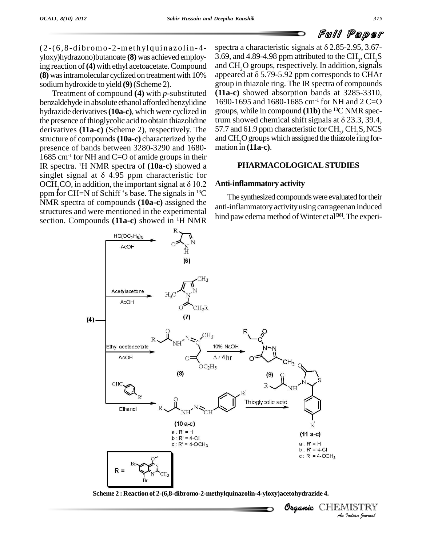$(2-(6, 8-dibromo-2-methylquinazolin-4$ yloxy)hydrazono)butanoate **(8)** was achieved employing reaction of**(4)**with ethyl acetoacetate.Compound sodium hydroxide to yield **(9)**(Scheme 2).

Treatment of compound **(4)** with *p-*substituted benzaldehyde in absolute ethanol afforded benzylidine hydrazide derivatives (10a-c), which were cyclized in the presence of thioglycolic acid to obtain thiazolidine trum showed chemical shift signals at  $\delta$  23.3, 39.4, derivatives **(11a-c)** (Scheme 2), respectively. The structure of compounds**(10a-c)** characterized by the presence of bands between 3280-3290 and 1680- mation in (11a-c). 1685 cm<sup>-1</sup> for NH and C=O of amide groups in their IR spectra. <sup>1</sup>H NMR spectra of **(10a-c)** showed a 1685 cm<sup>-1</sup> for NH and C=O of amide groups in their<br>IR spectra. <sup>1</sup>H NMR spectra of (**10a-c**) showed a<br>singlet signal at  $\delta$  4.95 ppm characteristic for IR spectra. <sup>1</sup>H NMR spectra of (10a-c) showed a<br>singlet signal at  $\delta$  4.95 ppm characteristic for<br>OCH<sub>2</sub>CO, in addition, the important signal at  $\delta$  10.2 **Anti-in** singlet signal at  $\delta$  4.95 ppm characteristic for OCH<sub>2</sub>CO, in addition, the important signal at  $\delta$  10.2 ppm for CH=N of Schiff 's base. The signals in <sup>13</sup>C NMR spectra of compounds **(10a-c)** assigned the structures and were mentioned in the experimental section. Compounds **(11a-c)** showed in <sup>1</sup>H NMR

**(8)** was intramolecular cyclized on treatment with  $10\%$  appeared at  $\delta$  5.79-5.92 ppm corresponds to CHAr spectra a characteristic signals at  $\delta$  2.85-2.95, 3.67-3.69, and 4.89-4.98 ppm attributed to the CH<sub>3</sub>, CH<sub>2</sub>S<br>and CH<sub>2</sub>O groups, respectively. In addition, signals<br>appeared at  $\delta$  5.79-5.92 ppm corresponds to CHAr and CH<sub>2</sub>O groups, respectively. In addition, signals group in thiazole ring. The IR spectra of compounds **(11a-c)** showed absorption bands at 3285-3310, 1690-1695 and 1680-1685 cm<sup>-1</sup> for NH and 2 C=O<br>groups, while in compound (**11b**) the <sup>13</sup>C NMR spec-<br>trum showed chemical shift signals at  $\delta$  23.3, 39.4, groups, while in compound **(11b)** the <sup>13</sup>C NMR spec-57.7 and 61.9 ppm characteristic for  $\text{CH}_3$ ,  $\text{CH}_2\text{S}$ , NCS and CH<sub>2</sub>O groups which assigned the thiazole ring for-

### **PHARMACOLOGICALSTUDIES**

### **Anti-inflammatory activity**

 $^{13}$ C The synthesized compounds were evaluated for their anti-inflammatory activityusing carrageenan induced hind paw edema method of Winter et al<sup>[38]</sup>. The experi-

Organic CHEMISTRY

*Indian Journal*



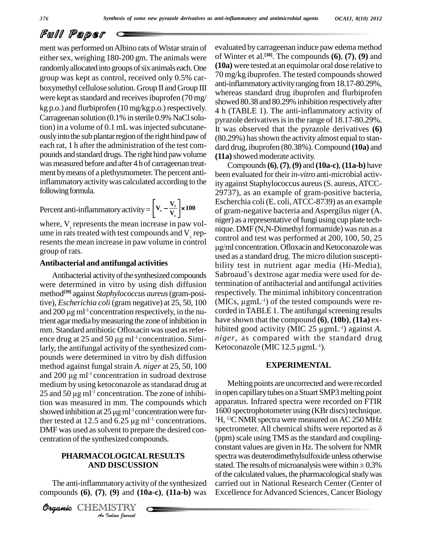ment was performed on Albino rats of Wistar strain of either sex, weighing 180-200 gm. The animals were randomly allocated into groups of six animals each. One group was kept as control, received only 0.5% car boxymethyl cellulose solution. Group II and Group III were kept as standard and receives ibuprofen (70 mg/  $kg p.o.$ ) and flurbiprofen (10 mg/kg p.o.) respectively. Carrageenan solution  $(0.1\%$  in sterile 0.9% NaCl solution) in a volume of 0.1 mL was injected subcutaneously into the sub plantar region of the right hind paw of each rat, 1 h after the administration of the test com pounds and standard drugs.The right hind pawvolume was measured before and after 4 h of carrageenan treatment by means of a plethysmometer. The percent antiinflammatory activity was calculated according to the ity age following formula.  $\mathbf{v}$ 

#### Percent anti-inflammatory activity =  $V_c - \frac{V_t}{V}$   $\times 100$  $V_t$ <sup>2</sup> **c**  $\Box$  $\left[\frac{V_{t}}{V_{t}}\right] \times 100$ г

ity=
$$
\left[\frac{V_c - \frac{V_t}{V_c}}{V_c}\right] \times 100
$$

 $V_{\rm c}$ 

where,  $V_t$  represents the mean increase in paw vol-<br>ume in rats treated with test compounds and  $V_c$  represents the mean increase in paw volume in control group of rats.

### **Antibacterial and antifungal activities**

were determined in vitro by using dish diffusion method **[39]** against *Staphylococcus aureus*(gram-positive), *Escherichia coli* (gram negative) at 25, 50, 100 method<sup>[39]</sup> against *Sta*<br>tive), *Escherichia co*<br>and 200 µg ml<sup>-1</sup> conc and  $200 \mu g$  m<sup> $-1$ </sup> concentration respectively, in the nutrient agar mediaby measuring the zone of inhibition in mm. Standard antibiotic Ofloxacin was used as refer- hibi trient agar media by measuring the zon<br>mm. Standard antibiotic Ofloxacin v<br>ence drug at 25 and 50  $\mu$ g ml<sup>-1</sup> conc ence drug at 25 and 50  $\mu$ g ml<sup>-1</sup> concentration. Similarly, the antifungal activity of the synthesized com pounds were determined in vitro by dish diffusion method against fungal strain *A. niger* at 25, 50, 100 pounds were determined in vitro by dish diffusion<br>method against fungal strain A. niger at 25, 50, 100<br>and 200  $\mu$ g ml<sup>-1</sup> concentration in sudroad dextrose medium by using ketoconazole as standarad drug at and 200  $\mu$ g ml<sup>-1</sup> concentration in sudroad dextrose medium by using ketoconazole as standarad drug at 25 and 50  $\mu$ g ml<sup>-1</sup> concentration. The zone of inhibition was measured in mm. The compounds which showed inhibiti tion was measured in mm. The compounds which appara<br>showed inhibition at 25  $\mu$ g ml<sup>-1</sup> concentration were fur-<br>ther tested at 12.5 and 6.25  $\mu$ g ml<sup>-1</sup> concentrations. <sup>1</sup>H, <sup>13</sup>C showed inhibition at  $25 \mu g$  ml<sup>-1</sup> concentration were further tested at 12.5 and 6.25  $\mu$ g ml<sup>-1</sup> concentrations. centration of the synthesized compounds.

### **PHARMACOLOGICAL RESULTS** s **AND DISCUSSION**

*DISCUSSI<br>DISCUSSI<br>(9) and (10)<br>IISTRY* The anti-inflammatory activity of the synthesized compounds **(6)**, **(7)**, **(9)** and **(10a-c)**, **(11a-b)** was

CHEMISTRY COMMENT

evaluated by carrageenan induce paw edema method of Winter et al. **[38]**. The compounds **(6)**, **(7)**, **(9)** and **(10a)** were tested at an equimolar oral dose relative to 70 mg/kg ibuprofen. The tested compounds showed anti-inflammatory activity ranging from 18.17-80.29%, whereas standard drug ibuprofen and flurbiprofen showed 80.38 and 80.29% inhibition respectively after 4 h (TABLE 1). The anti-inflammatory activity of pyrazole derivatives is in the range of 18.17-80.29%. It was observed that the pyrazole derivatives **(6)** (80.29%) hasshown the activity almost equal to stan dard drug, ibuprofen (80.38%).Compound **(10a)** and **(11a)** showed moderate activity.

Antibacterial activity of the synthesized compounds Sabroaud's dextrose agar media were used for de-Compounds**(6)**,**(7)**,**(9)** and **(10a-c)**,**(11a-b)** have been evaluated for their *in-vitro* anti-microbial activity against Staphylococcus aureus(S. aureus,ATCC- 29737), as an example of gram-positive bacteria, Escherchia coli (E. coli,ATCC-8739) as an example of gram-negative bacteria and Aspergilus niger (A. niger) as a representative of fungi using cup plate technique. DMF (N,N-Dimethyl formamide) was run as a control and testwas performed at 200, 100, 50, 25  $\mu$ g/ml concentration. Ofloxacin and Ketoconazole was used as a standard drug. The micro dilution suscepti bility test in nutrient agar media (Hi-Media), sabroaudís dextrose agar media (Hi-Media),<br>Sabroaud's dextrose agar media (Hi-Media),<br>Sabroaud's dextrose agar media were used for determination of antibacterial and antifungal activities<br>respectively. The minimal inhibitory concentration<br>(MICs,  $\mu$ gmL<sup>-1</sup>) of the tested compounds were rerespectively. The minimal inhibitory concentration  $(MICs, \mu gmL^{-1})$  of the tested compounds were recorded in TABLE 1. The antifungal screening results have shown that the compound **(6)**, **(10b)**, **(11a)** ex corded in TABLE 1. The antifungal screening results<br>have shown that the compound (6), (10b), (11a) ex-<br>hibited good activity (MIC 25  $\mu$ gmL<sup>-1</sup>) against *A*.<br>*niger*, as compared with the standard drug<br>Ketoconazole (MIC *niger*, as compared with the standard drug Ketoconazole (MIC  $12.5 \mu$ gmL<sup>-1</sup>).

### **EXPERIMENTAL**

DMF was used as solvent to prepare the desired con-<br>spectrometer. All chemical shifts were reported as  $\delta$ Melting points are uncorrected and were recorded in open capillarytubes on aStuart SMP3melting point apparatus. Infrared spectra were recorded on FTIR 1600 spectrophotometer using (KBr discs) technique.<br><sup>1</sup>H, <sup>13</sup>C NMR spectra were measured on AC 250 MHz spectrometer. All chemical shifts were reported as  $\delta$ <sup>1</sup>H, <sup>13</sup>C NMR spectra were measured on AC 250 MHz (ppm) scale using TMS as the standard and couplingconstant values are given in Hz. The solvent for NMR spectra was deuterodimethylsulfoxide unless otherwise stated. The results of microanalysis were within  $\pm$  0.3% spectra was deuterodimethylsulfoxide unless otherwise of the calculated values, the pharmacological study was carried out in National Research Center (Center of Excellence for Advanced Sciences, Cancer Biology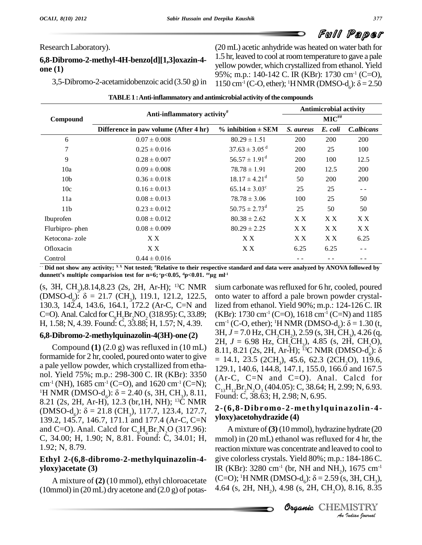Research Laboratory).

### **6,8-Dibromo-2-methyl-4H-benzo[d][1,3]oxazin-4 one (1)**

3,5-Dibromo-2-acetamidobenzoic acid (3.50 g) in 1150 cm<sup>-1</sup> (C-O, ether); <sup>1</sup>H NMR (DMSO-d):  $\delta$  = 2.50 (20 mL) acetic anhydride was heated on water bath for 1.5 hr, leaved to cool at roomtemperature to gave a pale yellow powder, which crystallized from ethanol. Yield<br>95%; m.p.: 140-142 C. IR (KBr): 1730 cm<sup>-1</sup> (C=O),<br>1150 cm<sup>-1</sup> (C-O, ether); <sup>1</sup>HNMR (DMSO-d<sub>e</sub>):  $\delta$  = 2.50 95%; m.p.: 140-142 C. IR (KBr): 1730 cm<sup>-1</sup> (C=O),

| Compound        | Anti-inflammatory activity <sup>#</sup> |                               | <b>Antimicrobial activity</b><br>$MIC^{\#}\!\#$ |      |      |
|-----------------|-----------------------------------------|-------------------------------|-------------------------------------------------|------|------|
|                 |                                         |                               |                                                 |      |      |
|                 | 6                                       | $0.07 \pm 0.008$              | $80.29 \pm 1.51$                                | 200  | 200  |
| 7               | $0.25 \pm 0.016$                        | $37.63 \pm 3.05$ <sup>d</sup> | 200                                             | 25   | 100  |
| 9               | $0.28 \pm 0.007$                        | $56.57 \pm 1.91^{\text{d}}$   | 200                                             | 100  | 12.5 |
| 10a             | $0.09 \pm 0.008$                        | $78.78 \pm 1.91$              | 200                                             | 12.5 | 200  |
| 10 <sub>b</sub> | $0.36 \pm 0.018$                        | $18.17 \pm 4.21^{\text{d}}$   | 50                                              | 200  | 200  |
| 10c             | $0.16 \pm 0.013$                        | $65.14 \pm 3.03^{\circ}$      | 25                                              | 25   | $ -$ |
| 11a             | $0.08 \pm 0.013$                        | $78.78 \pm 3.06$              | 100                                             | 25   | 50   |
| 11 <sub>b</sub> | $0.23 \pm 0.012$                        | $50.75 \pm 2.73$ <sup>d</sup> | 25                                              | 50   | 50   |
| Ibuprofen       | $0.08 \pm 0.012$                        | $80.38 \pm 2.62$              | X X                                             | X X  | XX   |
| Flurbipro-phen  | $0.08 \pm 0.009$                        | $80.29 \pm 2.25$              | X X                                             | X X  | X X  |
| Ketocona-zole   | X X                                     | X X                           | X X                                             | X X  | 6.25 |
| Ofloxacin       | X X                                     | X X                           | 6.25                                            | 6.25 | - -  |
| Control         | $0.44 \pm 0.016$                        |                               |                                                 |      |      |

**TABLE1 :Anti-inflammatory and antimicrobial activity ofthe compounds**

 $\cdot\cdot$  Did not show any activity;  $^\text{x}$  Not tested; #Relative to their respective standard and data were analyzed by ANOVA followed by **c** Control  $0.44 \pm 0.016$ <br>**c Did** not show any activity; <sup>x x</sup> Not tested; <sup>#</sup>Relative to their respective standunnett's multiple comparision test for n=6;  $p<0.05$ ,  $p<0.01$ . <sup>##</sup>µg ml<sup>-1</sup> dunnett's multiple comparision test for n=6;  $\degree$ p<0.05,  $\degree$ p<0.01.  $\#$ µg ml<sup>-1</sup>

(s, 3H, CH<sub>3</sub>),8.14,8.23 (2s, 2H, Ar-H); <sup>13</sup>C NMR sium carbotal dunnett's multiple comparision test for n=6;  ${}^{c}p<0.05$ ,  ${}^{d}p<0.01$ .  ${}^{m}\mu g$  ml<sup>-1</sup><br>(s, 3H, CH<sub>3</sub>), 8.14, 8.23 (2s, 2H, Ar-H); <sup>13</sup>C NMR sium c;<br>(DMSO-d<sub>6</sub>):  $\delta = 21.7$  (CH<sub>3</sub>), 119.1, 121.2, 122.5, onto w<br>130.3, 142 C=O). Anal. Calcd for  $C_9H_5Br_2NO_2(318.95)$ : C, 33.89; (K H, 1.58; N, 4.39. Found: C, 33.88; H, 1.57; N, 4.39.  $cm^{-1}$  (C-O, ether); <sup>1</sup>H NMR (DMSO-d<sub>c</sub>):  $\delta = 1.30$  (t,

formamide for 2 hr, cooled, poured onto water to give  $= 14.1, 23.5 (2CH_2), 45.6, 62.3 (2CH_2), 119.6,$ a pale yellow powder, which crystallized from etha-<br> $129.1, 140.6, 144.8, 147.1, 155.0, 166.0$  and 167.5 nol. Yield 75%; m.p.: 298-300 C. IR (KBr): 3350 cm<sup>-1</sup> (NH), 1685 cm<sup>-1</sup> (C=O), and 1620 cm<sup>-1</sup> (C=N); nol. Yield 75%; m.p.: 298-300 C. IR (KBr): 3350 (Ar-C, 0<br>cm<sup>-1</sup> (NH), 1685 cm<sup>-1</sup> (C=O), and 1620 cm<sup>-1</sup> (C=N); c<sub>13</sub>H<sub>12</sub>Br<sub>2</sub><sup>1</sup><br><sup>1</sup>H NMR (DMSO-d<sub>6</sub>):  $\delta$  = 2.40 (s, 3H, CH<sub>3</sub>), 8.11, Found: C<sub>3</sub><br>8.21 (2s, 2H, Ar-H), 1 <sup>1</sup>H NMR (DMSO-d<sub>6</sub>):  $\delta = 2.40$  (s, 3H, CH<sub>3</sub>), 8.11, Found: C<sub>3</sub><br>8.21 (2s, 2H, Ar-H), 12.3 (br, 1H, NH); <sup>13</sup>C NMR (DMSO-d<sub>6</sub>):  $\delta = 21.8$  (CH<sub>3</sub>), 117.7, 123.4, 127.7, **2-(6,8-D**<br>139.2, 145.7, 146.7, 171.1 and 177.4 (A and C=O). Anal. Calcd for  $C_9H_6Br_2N_2O(317.96)$ : C, 34.00; H, 1.90; N, 8.81. Found: C, 34.01; H, 1.92; N, 8.79.

### **Ethyl 2-(6,8-dibromo-2-methylquinazolin-4 yloxy)acetate (3)**

 $(10$ mmol) in  $(20 \text{ mL})$  dry acetone and  $(2.0 \text{ g})$  of potas-

**6,8-Dibromo-2-methylquinazolin-4(3H)-one** (2)  $\begin{array}{c} 3H, J = 7.0 \text{ Hz, CH<sub>3</sub>CH<sub>2</sub>}, 2.59 \text{ (s, 3H, CH<sub>3</sub>), 4.26 (q, 2H, J = 6.98 \text{ Hz, CH<sub>3</sub>CH<sub>3</sub>}, 4.85 \text{ (s, 2H, CH<sub>3</sub>O)} \end{array}$ Compound **(1)** (2.0 g) was refluxed in (10 mL)  $\overline{8.11, 8.21}$  (2s, 2H, Ar-H); <sup>33</sup>C NMR (DMSO-d):  $\delta$ sium carbonate was refluxed for 6 hr, cooled, poured onto water to afford a pale brown powder crystallized from ethanol. Yield 90%; m.p.: 124-126 C. IR (KBr): 1730 cm<sup>-1</sup> (C=O), 1618 cm<sup>-1</sup> (C=N) and 1185 lized from ethanol. Yield 90%; m.p.: 124-126 C. IR<br>(KBr): 1730 cm<sup>-1</sup> (C=O), 1618 cm<sup>-1</sup> (C=N) and 1185<br>cm<sup>-1</sup> (C-O, ether); <sup>1</sup>H NMR (DMSO-d<sub>o</sub>):  $\delta$  = 1.30 (t,<br>3H, J = 7.0 Hz, CH<sub>3</sub>CH<sub>2</sub>), 2.59 (s, 3H, CH<sub>3</sub>), 4.26 (q,  $(Ar-C, C=N$  and  $C=O)$ . Anal. Calcd for C<sub>13</sub>H<sub>12</sub>Br<sub>2</sub>N<sub>2</sub>O<sub>3</sub> (404.05): C, 38.64; H, 2.99; N, 6.93.<br>Found: C, 38.63; H, 2.98; N, 6.95.

### **2-(6,8-Dibromo-2-methylquinazolin-4 yloxy)acetohydrazide (4)**

**Organic***An*give colorless crystals. Yield 80%; m.p.: 184-186 C. 184-186 C.<br>, 1675 cm<sup>-1</sup><br>, 3H, CH<sub>3</sub>),<br>8.16, 8.35<br>**AISTRY** A mixture of (2) (10 mmol), ethyl chloroacetate  $(C=O)$ ; <sup>1</sup>H NMR (DMSO-d<sub>6</sub>):  $\delta = 2.59$  (s, 3H, CH<sub>3</sub>), mmol) in (20 mL) drv acetone and (2.0 g) of potas-<br>4.64 (s, 2H, NH<sub>2</sub>), 4.98 (s, 2H, CH<sub>2</sub>O), 8.16, 8.35 A mixture of**(3)** (10mmol), hydrazine hydrate (20 mmol) in (20 mL) ethanol was refluxed for 4 hr, the reaction mixture was concentrate and leaved to cool to IR (KBr): 3280 cm<sup>-1</sup> (br, NH and NH<sub>2</sub>), 1675 cm<sup>-1</sup> give colorless crystals. Yield 80%; m.p.: 184-186 C.<br>IR (KBr): 3280 cm<sup>-1</sup> (br, NH and NH<sub>2</sub>), 1675 cm<sup>-1</sup><br>(C=O); <sup>1</sup>H NMR (DMSO-d<sub>6</sub>):  $\delta$  = 2.59 (s, 3H, CH<sub>3</sub>),<br>4.64 (s, 2H, NH<sub>2</sub>), 4.98 (s, 2H, CH<sub>2</sub>O), 8.16, 8.35

Organic CHEMISTRY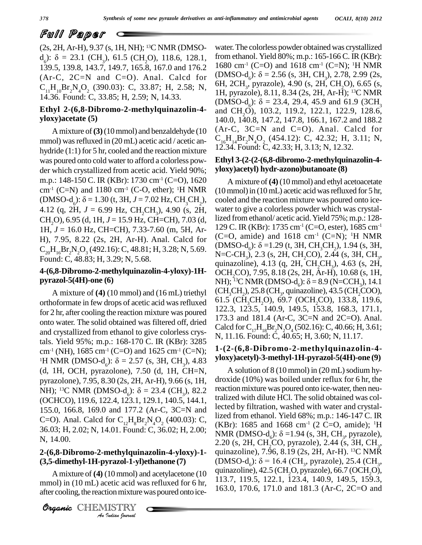(2s, 2H, Ar-H), 9.37 (s, 1H, NH); <sup>13</sup>C NMR (DMSO- **PUIII PEIPET**<br>(2s, 2H, Ar-H), 9.37 (s, 1H, NH); <sup>13</sup>C NMR (DMSO- water.<sup>7</sup><br>d<sub>e</sub>):  $\delta = 23.1$  (CH<sub>3</sub>), 61.5 (CH<sub>2</sub>O), 118.6, 128.1, from et<br>139.5, 139.8, 143.7, 149.7, 165.8, 167.0 and 176.2 1680 c (Ar-C, 2C=N and C=O). Anal. Calcd for  $(DMSO-d_6)$ :  $\delta = 2.56$  (s, 3H, CH<sub>3</sub>), 2.78, 2.99 (2s, C H Br N O (300.03): C 33.87: H 2.58; N 6H, 2CH<sub>3</sub>, pyrazole), 4.90 (s, 2H, CH<sub>3</sub>O), 6.65 (s,  $C_{11}H_{10}Br_2N_4O_2$  (390.03): C, 33.87; H, 2.58; N, <sup>or</sup> 14.36. Found: C, 33.85; H, 2.59; N, 14.33.

### **Ethyl 2-(6,8-Dibromo-2-methylquinazolin-4 yloxy)acetate (5)**

Amixture of**(3)**(10mmol) and benzaldehyde (10 mmol) was refluxed in (20 mL) acetic acid / acetic an-<br>hydride (1.1) for 5 hr cooled and the reaction mixture 12.34. Found: C, 42.33; H, 3.13; N, 12.32. hydride (1:1) for 5 hr, cooled and the reaction mixture was poured onto cold water to afford a colorless pow der which crystallized from acetic acid. Yield 90%; m.p.: 148-150 C. IR (KBr): 1730 cm<sup>-1</sup> (C=O), 1620 A r<br>cm<sup>-1</sup> (C=N) and 1180 cm<sup>-1</sup> (C-O, ether); <sup>1</sup>H NMR (10 mn<br>(DMSO-d<sub>6</sub>):  $\delta$  = 1.30 (t, 3H, J = 7.02 Hz, CH<sub>3</sub>CH<sub>2</sub>), cooled<br>4.12 (q, 2H, J = 6.99 Hz, CH<sub>2</sub>CH<sub>3</sub>), 4. cm<sup>-1</sup> (C=N) and 1180 cm<sup>-1</sup> (C-O, ether); <sup>1</sup>H NMR H), 7.95, 8.22 (2s, 2H, Ar-H). Anal. Calcd for  $C_{20}H_{16}Br_2N_2O_3$  (492.16): C, 48.81; H, 3.28; N, 5.69. [C]<br>Found: C, 48.83; H, 3.29; N, 5.68.

# **pyrazol-5(4H)-one (6)**

orthoformate in few drops of acetic acid was refluxed  $\frac{61.5}{122.3}$ ,  $\frac{(CH_3CH_2O)}{122.3}$ ,  $\frac{69.7}{140.9}$ ,  $\frac{19.6}{149.5}$ ,  $\frac{153.8}{153.8}$ ,  $\frac{119.6}{168.3}$ ,  $\frac{119.6}{171.1}$ for 2 hr, after cooling the reaction mixture was poured onto water. The solid obtained was filtered off, dried and crystallized from ethanol to give colorless crystals. Yield 95%; m.p.: 168-170 C. IR (KBr): 3285 cm<sup>-1</sup> (NH), 1685 cm<sup>-1</sup> (C=O) and 1625 cm<sup>-1</sup> (C=N); <sup>1</sup> tals. Yield 95%; m.p.: 168-170 C. IR (KBr): 3285<br>cm<sup>-1</sup> (NH), 1685 cm<sup>-1</sup> (C=O) and 1625 cm<sup>-1</sup> (C=N); <br><sup>1</sup>H NMR (DMSO-d<sub>6</sub>):  $\delta$  = 2.57 (s, 3H, CH<sub>3</sub>), 4.83 yloxy); (d, 1H, OCH, pyrazolone), 7.50 (d, 1H, CH=N, As<br>pyrazolone), 7.95, 8.30 (2s, 2H, Ar-H), 9.66 (s, 1H, droxid<br>NH); <sup>13</sup>C NMR (DMSO-d<sub>6</sub>):  $\delta = 23.4$  (CH<sub>3</sub>), 82.2 reaction pyrazolone), 7.95, 8.30 (2s, 2H, Ar-H), 9.66 (s, 1H, (OCHCO), 119.6, 122.4, 123.1, 129.1, 140.5, 144.1, 155.0, 166.8, 169.0 and 177.2 (Ar-C, 3C=N and C=O). Anal. Calcd for  $C_{12}H_{8}Br_{2}N_{4}O_{2}$  (400.03): C, 36.03; H, 2.02; N, 14.01. Found: C, 36.02; H, 2.00; N, 14.00.

# **2-(6,8-Dibromo-2-methylquinazolin-4-yloxy)-1-**

**A** mixture of (4) (10 mmol) and acetylacetone (10 mmol) in (10 mL) acetic acid was refluxed for 6 hr, after cooling, the reaction mixture was poured onto ice-<br> **Organic** CHEMISTRY mmol) in (10 mL) acetic acid was refluxed for 6 hr, after cooling, the reaction mixture was poured onto ice-



water.The colorless powder obtained was crystallized from ethanol. Yield 80%; m.p.: 165-166 C. IR (KBr):<br>1680 cm<sup>-1</sup> (C=O) and 1618 cm<sup>-1</sup> (C=N); <sup>1</sup>H NMR<br>(DMSO-d<sub>6</sub>):  $\delta = 2.56$  (s, 3H, CH<sub>3</sub>), 2.78, 2.99 (2s,<br>6H, 2CH<sub>3</sub>, pyrazole), 4.90 (s, 2H, CH<sub>2</sub>O), 6.65 (s, 1680 cm<sup>-1</sup> (C=O) and 1618 cm<sup>-1</sup> (C=N); <sup>1</sup>H NMR 1H, pyrazole), 8.11, 8.34 (2s, 2H, Ar-H); <sup>13</sup>C NMR (DMSO-d<sub>c</sub>):  $\delta = 23.4$ , 29.4, 45.9 and 61.9 (3CH<sub>3</sub>) 140.0, 140.8, 147.2, 147.8, 166.1, 167.2 and 188.2  $(Ar-C, 3C=N$  and  $C=O)$ . Anal. Calcd for  $C_{16}H_{14}Br_2N_4O_2$  (454.12): C, 42.32; H, 3.11; N, 12.34. Found: C, 42.33; H, 3.13; N, 12.32.

### **Ethyl 3-(2-(2-(6,8-dibromo-2-methylquinazolin-4 yloxy)acetyl) hydr-azono)butanoate (8)**

**4-(6,8-Dibromo-2-methylquinazolin-4-yloxy)-1H-** A mixture of **(4)** (10 mmol) and (16 mL) triethyl  $(CH_3CH_2), 25.8$  (CH<sub>3</sub>, quinazoine), 45.5 (CH<sub>2</sub>COO), <br>of ormate in few drops of acetic acid was refluxed  $61.5$  (CH<sub>2</sub>CH<sub>3</sub>O), 69.7 (OCH<sub>3</sub>CO), 133.8, 119.6, A mixture of **(4)** (10 mmol) and ethyl acetoacetate  $(10 \text{ mmol})$  in  $(10 \text{ mL})$  acetic acid was refluxed for 5 hr, cooled and the reaction mixture was poured onto ice water to give a colorless powder which was crystallized fromethanol/ acetic acid.Yield 75%; m.p.: 128- 129 C. IR (KBr): 1735 cm-1 (C=O, ester), 1685 cm-1 (C=O, amide) and  $1618 \text{ cm}^{-1}$  (C=N); <sup>1</sup>H NMR (DMSO-d<sub>6</sub>):  $\delta$  =1.29 (t, 3H, CH<sub>3</sub>CH<sub>2</sub>), 1.94 (s, 3H, N=C-CH<sub>3</sub>), 2.3 (s, 2H, CH<sub>2</sub>CO), 2.44 (s, 3H, CH<sub>3</sub>, quinazoline), 4.13 (q, 2H, CH<sub>3</sub>CH<sub>3</sub>), 4.63 (s, 2H, N=C-CH<sub>2</sub>), 2.3 (s, 2H, CH<sub>2</sub>CO), 2.44 (s, 3H, CH<sub>2</sub>, NH); <sup>13</sup>C NMR (DMSO-d<sub>e</sub>):  $\delta$  = 8.9 (N=CCH<sub>2</sub>), 14.1 (CH<sub>3</sub>CH<sub>2</sub>), 25.8 (CH<sub>3</sub>, quinazoline), 43.5 (CH<sub>2</sub>COO),<br>61.5 (CH<sub>3</sub>CH<sub>2</sub>O), 69.7 (OCH<sub>2</sub>CO), 133.8, 119.6,<br>122.3, 123.5, 140.9, 149.5, 153.8, 168.3, 171.1, 173.3 and 181.4 (Ar-C, 3C=N and 2C=O). Anal. Calcd for  $C_{17}H_{18}Br_2N_2O_4(502.16)$ : C, 40.66; H, 3.61; N, 11.16. Found: C, 40.65; H, 3.60; N, 11.17.

### **1-(2-(6,8-Dibromo-2-methylquinazolin-4 yloxy)acetyl)-3-methyl-1H-pyrazol-5(4H)-one (9)**

A mixture of **(4)** (10 mmol) and acetylacetone (10 quinazoline),  $42.5$  (CH<sub>2</sub>O, pyrazole),  $66.7$  (OCH<sub>2</sub>O), A solution of  $8(10 \text{ mmol})$  in  $(20 \text{ mL})$  sodium hydroxide (10%) was boiled under reflux for 6 hr, the reaction mixture was poured onto ice-water, then neutralized with dilute HCl. The solid obtained was collected by filtration, washed with water and crystallized from ethanol. Yield 68%; m.p.: 146-147 C. IR (KBr): 1685 and 1668 cm<sup>-1</sup> (2 C=O, amide); <sup>1</sup>H lized from ethanol. Yield 68%; m.p.: 146-147 C. IR<br>(KBr): 1685 and 1668 cm<sup>-1</sup> (2 C=O, amide); <sup>1</sup>H<br>NMR (DMSO-d<sub>6</sub>):  $\delta$  =1.94 (s, 3H, CH<sub>3</sub>, pyrazole), 2.20 (s, 2H, CH<sub>2</sub>CO, pyrazole), 2.44 (s, 3H, CH<sub>2</sub>, , quinazoline), 7.96, 8.19 (2s, 2H, Ar-H). <sup>13</sup>C NMR 2.20 (s, 2H, CH<sup>o</sup>CO, pyrazole), 2.44 (s, 3H, CH<sub>3</sub>, quinazoline), 7.96, 8.19 (2s, 2H, Ar-H). <sup>13</sup>C NMR<br>(DMSO-d<sub>6</sub>):  $\delta$  = 16.4 (CH<sub>3</sub>, pyrazole), 25.4 (CH<sub>3</sub>, quinazoline), 42.5 (CH2O, pyrazole), 66.7 (OCH2O), 113.7, 119.5, 122.1, 123.4, 140.9, 149.5, 159.3, 163.0, 170.6, 171.0 and 181.3 (Ar-C, 2C=O and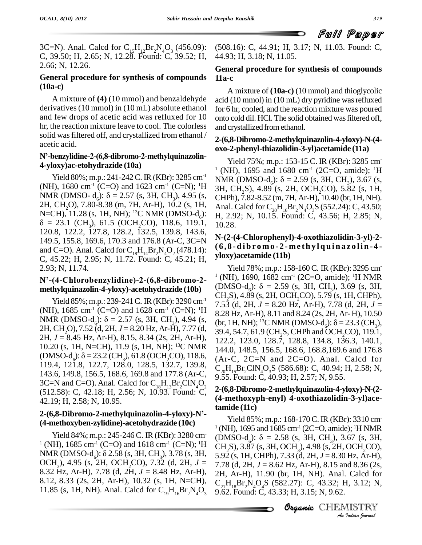3C=N). Anal. Calcd for  $C_{15}H_{12}Br_2N_4O_3$  (456.09): (50 C, 39.50; H, 2.65; N, 12.28. Found: C, 39.52; H, 2.66; N, 12.26.

### **General procedure for synthesis of compounds (10a-c)**

A mixture of **(4)** (10 mmol) and benzaldehyde derivatives (10 mmol) in (10 mL) absolute ethanol and few drops of acetic acid was refluxed for 10 hr, the reaction mixture leave to cool. The colorless solid was filtered off, and crystallized from ethanol / acetic acid.

### **<sup>N</sup>í-benzylidine-2-(6,8-dibromo-2-methylquinazolin- 4-yloxy)ac-etohydrazide (10a)**

(NH), 1680 cm<sup>-1</sup> (C=O) and 1623 cm<sup>-1</sup> (C=N); <sup>1</sup>H 3H, CH<sub>2</sub>S), 4.89 (s, 2H, OCH<sub>2</sub>CO), 5.82 (s, 1H, NMR (DMSO- d<sub>6</sub>):  $\delta$  = 2.57 (s, 3H, CH<sub>3</sub>), 4.95 (s, CHPh), 7.82-8.52 (m, 7H, Ar-H), 10.40 (br, 1H, NH).<br>2H, CH<sub>2</sub>O), 7.80-8.38 (m, 7H, Ar-H), 10.2 (s, 1H, Anal. Calcd for C<sub>20</sub>H<sub>16</sub>Br<sub>2</sub>N<sub>4</sub>O<sub>3</sub>S (552.24): C, 43.50; N= 2H, CH<sub>2</sub>O), 7.80-8.38 (m, 7H, Ar-H), 10.2 (s, 1H,  $\delta = 23.1$  (CH<sub>3</sub>), 61.5 (OCH<sub>2</sub>CO), 118.6, 119.1, 120.8, 122.2, 127.8, 128.2, 132.5, 139.8, 143.6, 149.5, 155.8, 169.6, 170.3 and 176.8 (Ar-C, 3C=N and C=O). Anal. Calcd for  $C_{18}H_{14}Br_2N_4O_2$  (478.14):  $V_{\text{rel}}$ C, 45.22; H, 2.95; N, 11.72. Found: C, 45.21; H, yloxy) acetamide (11b) 2.93; N, 11.74.

# $N^2$ -(4-Chlorobenzylidine)-2-(6,8-dibromo-2- $(NH)$ , 1090, 1082 cm<sup>2</sup> (2C=O, annue); <sup>2</sup>H NMK<br>methylouinazolin-4-vlovy)-acetobydrazide (10b) (DMSO-d<sub>c</sub>):  $\delta = 2.59$  (s, 3H, CH<sub>2</sub>), 3.69 (s, 3H,

(NH), 1685 cm<sup>-1</sup> (C=O) and 1628 cm<sup>-1</sup> (C=N); <sup>1</sup>H  $\frac{1}{8}$  28 Hz A Yield 85%; m.p.: 239-241 C. IR (KBr): 3290 cm<sup>-1</sup> 7.5;<br>
(NH), 1685 cm<sup>-1</sup> (C=O) and 1628 cm<sup>-1</sup> (C=N); <sup>1</sup>H<br>
NMR (DMSO-d<sub>6</sub>):  $\delta = 2.57$  (s, 3H, CH<sub>3</sub>), 4.94 (s, thr,<br>
2H, CH<sub>2</sub>O), 7.52 (d, 2H, *J* = 8.20 Hz, Ar-H), 7.77 10.20 (s, 1H, N=CH), 11.9 (s, 1H, NH); <sup>13</sup>C NMR 2H, CH<sub>2</sub>O), 7.52 (d, 2H, J = 8.20 Hz, Ar-H), 7.77 (d, 39.4, 54.7, 61.9 (CH<sub>2</sub>S, CHPh and OCH<sub>2</sub>CO), 119.1, 2H, J = 8.45 Hz, Ar-H), 8.15, 8.34 (2s, 2H, Ar-H), 122.2, 123.0, 128.7, 128.8, 134.8, 136.3, 140.1, 10.20 (s, 1H, 143.6, 149.8, 156.5, 168.6, 169.8 and 177.8 (Ar-C,  $9.\overline{55}$ ,  $\overline{15}$   $\overline{20}$ ,  $\overline{15}$ ,  $\overline{24}$ ,  $\overline{16}$ ,  $\overline{24}$ ,  $\overline{257}$ ,  $\overline{18}$ ,  $\overline{255}$ ,  $\overline{160}$ ,  $\overline{16}$ ,  $\overline{25}$ ,  $\overline{160}$ ,  $\overline{251}$ , 3C=N and C=O). Anal. Calcd for  $C_{18}H_{13}Br_2CIN_4O_2$ (512.58): C, 42.18; H, 2.56; N, 10.93. Found: C, **2-(6,8-Dibromo-2-methylquinazolin-4-yloxy)-Ní-** 42.19; H, 2.58; N, 10.95.

# **(4-methoxyben-zylidine)-acetohydrazide (10c)**

<sup>1</sup> (NH), 1685 cm<sup>-1</sup> (C=O) and 1618 cm<sup>-1</sup> (C=N); <sup>1</sup>H CH<sub>2</sub>S), 3.87 (s, 3H, OCH<sub>2</sub>), 4.98 (s, 2H, OCH<sub>2</sub>CO), NMR (DMSO-d<sub>6</sub>): δ 2.58 (s, 3H, CH<sub>3</sub>), 3.78 (s, 3H, OCH<sub>3</sub>), 4.95 (s, 2H, OCH<sub>3</sub>CO), 7.32 (d, 2H, *J* = 8.32 Hz, Ar-H), 7.78 (d, 2H, *J* = 8.48 Hz, Ar-H), 8.12, 8.33 (2s,2H, Ar-H), 10.32 (s, 1H, N=CH), 11.85 (s, 1H, NH). Anal. Calcd for  $C_{19}H_{16}Br_2N_4O_3$  9.6

(508.16): C, 44.91; H, 3.17; N, 11.03. Found: C, 44.93; H, 3.18; N, 11.05.

### **General procedure for synthesis of compounds 11a-c**

A mixture of **(10a-c)** (10 mmol) and thioglycolic acid  $(10 \text{ mmol})$  in  $(10 \text{ mL})$  dry pyridine was refluxed for 6 hr, cooled, and the reaction mixture was poured onto cold dil. HCl. The solid obtained wasfiltered off, and crystallized fromethanol.

### **2-(6,8-Dibromo-2-methylquinazolin-4-yloxy)-N-(4 oxo-2-phenyl-thiazolidin-3-yl)acetamide (11a)**

Yield 80%; m.p.: 241-242 C. IR (KBr): 3285 cm<sup>-1</sup> NMR (DMSO-d<sub>c</sub>):  $\delta = 2.59$  (s, 3H, CH<sub>2</sub>), 3.67 (s, Yield 75%; m.p.: 153-15 C. IR (KBr): 3285 cm <sup>1</sup> (NH), 1695 and 1680 cm<sup>-1</sup> (2C=O, amide); <sup>1</sup>H Yield 75%; m.p.: 153-15 C. IR (KBr): 3285 cm<sup>1</sup> (NH), 1695 and 1680 cm<sup>-1</sup> (2C=O, amide); <sup>1</sup>H<br>NMR (DMSO-d<sub>6</sub>):  $\delta$  = 2.59 (s, 3H, CH<sub>3</sub>), 3.67 (s, 3H, CH<sub>2</sub>S), 4.89 (s, 2H, OCH<sub>2</sub>CO), 5.82 (s, 1H,<br>CHPh), 7.82-8.52 (m, 7 Anal. Calcd for  $C_{20}H_{16}Br_2N_4O_3S$  (552.24): C, 43.50; H, 2.92; N, 10.15. Found: C, 43.56; H, 2.85; N, 10.28.

# **N-(2-(4-Chlorophenyl)-4-oxothiazolidin-3-yl)-2-** (6,8-dibromo-2-methylquinazolin-4-

**methylquinazolin-4-yloxy)-acetohydrazide** (10b)<br>CH<sub>2</sub>S), 4.89 (s, 2H, OCH<sub>2</sub>CO), 5.79 (s, 1H, CHPh), Yield 85%; m.p.: 239-241 C. IR (KBr): 3290 cm<sup>-1</sup> 7.53 (d, 2H,  $J = 8.20$  Hz, Ar-H), 7.78 (d, 2H,  $J =$ Yield 78%; m.p.: 158-160 C. IR (KBr): 3295 cm-  $1$  (NH), 1690, 1682 cm<sup>-1</sup> (2C=O, amide); <sup>1</sup>H NMR Yield 78%; m.p.: 158-160 C. IR (KBr): 3295 cm<sup>-1</sup> (NH), 1690, 1682 cm<sup>-1</sup> (2C=O, amide); <sup>1</sup>H NMR<br>(DMSO-d<sub>6</sub>): δ = 2.59 (s, 3H, CH<sub>3</sub>), 3.69 (s, 3H, CH<sub>2</sub>S), 4.89 (s, 2H, OCH<sub>2</sub>CO), 5.79 (s, 1H, CHPh), 7.53 (d, 2H, *J* = 8.28 Hz, Ar-H), 8.11 and 8.24 (2s, 2H, Ar- H), 10.50 (br, 1H, NH); <sup>13</sup>C NMR (DMSO-d<sub>6</sub>):  $\delta$  = 23.3 (CH<sub>3</sub>), 39.4, 54.7, 61.9 (CH<sub>2</sub>S, CHPh and OCH<sub>2</sub>CO), 119.1, 122.2, 123.0, 128.7, 128.8, 134.8, 136.3, 140.1, 144.0, 148.5, 156.5, 168.6, 168.8,169.6 and 176.8  $(Ar-C, 2C=N$  and  $2C=O)$ . Anal. Calcd for C<sub>20</sub>H<sub>15</sub>Br<sub>2</sub>ClN<sub>4</sub>O<sub>3</sub>S (586.68): C, 40.94; H, 2.58; N,<br>9.55. Found: C, 40.93; H, 2.57; N, 9.55.

### **2-(6,8-Dibromo-2-methylquinazolin-4-yloxy)-N-(2- (4-methoxyph-enyl) 4-oxothiazolidin-3-yl)acetamide (11c)**

 $.33$  (d, 2H,  $J = 8.30$ *Inz, Ar-H),<br>id 8.36 (2s,<br>. Calcd for<br>I, 3.12; N,<br>MISTRY* Yield 84%; m.p.: 245-246 C. IR (KBr): 3280 cm (DMSO-d<sub>c</sub>):  $\delta = 2.58$  (s, 3H, CH<sub>2</sub>), 3.67 (s, 3H, Yield 85%; m.p.: 168-170 C. IR (KBr): 3310 cm  $1$  (NH), 1695 and 1685 cm<sup>-1</sup> (2C=O, amide); <sup>1</sup>H NMR Yield 85%; m.p.: 168-170 C. IR (KBr): 3310 cm<sup>1</sup><br>(NH), 1695 and 1685 cm<sup>-1</sup> (2C=O, amide); <sup>1</sup>H NMR<br>(DMSO-d<sub>c</sub>):  $\delta = 2.58$  (s, 3H, CH<sub>3</sub>), 3.67 (s, 3H,<br>CH<sub>2</sub>S), 3.87 (s, 3H, OCH<sub>3</sub>), 4.98 (s, 2H, OCH<sub>2</sub>CO),<br>5.92 (s, 1H, C 7.78 (d, 2H, *J* = 8.62 Hz, Ar-H), 8.15 and 8.36 (2s, 2H, Ar-H), 11.90 (br,1H, NH). Anal. Calcd for  $C_{21}H_{18}Br_2N_4O_4S$  (582.27): C, 43.32; H, 3.12; N, 9.62. Found: C, 43.33; H, 3.15; N, 9.62.